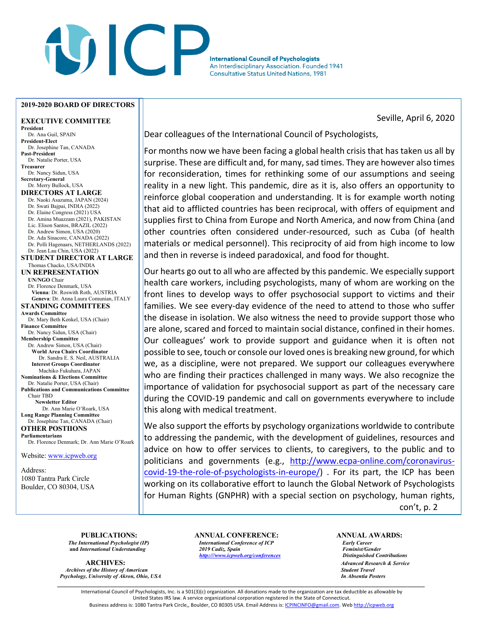## **VICT International Council of Psychologists** An Interdisciplinary Association. Founded 1941 **Consultative Status United Nations, 1981**

## **2019-2020 BOARD OF DIRECTORS**

**EXECUTIVE COMMITTEE President** Dr. Ana Guil, SPAIN **President-Elect** Dr. Josephine Tan, CANADA **Past-President** Dr. Natalie Porter, USA **Treasurer** Dr. Nancy Sidun, USA **Secretary-General** Dr. Merry Bullock, USA **DIRECTORS AT LARGE**  Dr. Naoki Asazuma, JAPAN (2024) Dr. Swati Bajpai, INDIA (2022) Dr. Elaine Congress (2021) USA Dr. Amina Muazzam (2021), PAKISTAN Lic. Elison Santos, BRAZIL (2022) Dr. Andrew Simon, USA (2020) Dr. Ada Sinacore, CANADA (2022) Dr. Polli Hagenaars, NETHERLANDS (2022) Dr. Jean Lau Chin, USA (2022) **STUDENT DIRECTOR AT LARGE** Thomas Chacko, USA/INDIA **UN REPRESENTATION UN/NGO** Chair Dr. Florence Denmark, USA **Vienna**: Dr. Roswith Roth, AUSTRIA **Geneva**: Dr. Anna Laura Comunian, ITALY **STANDING COMMITTEES Awards Committee** Dr. Mary Beth Kenkel, USA (Chair) **Finance Committee** Dr. Nancy Sidun, USA (Chair) **Membership Committee** Dr. Andrew Simon, USA (Chair) **World Area Chairs Coordinator** Dr. Sandra E. S. Neil, AUSTRALIA **Interest Groups Coordinator** Machiko Fukuhara, JAPAN **Nominations & Elections Committee** Dr. Natalie Porter, USA (Chair) **Publications and Communications Committee** Chair TBD **Newsletter Editor**  Dr. Ann Marie O'Roark, USA **Long Range Planning Committee** Dr. Josephine Tan, CANADA (Chair) **OTHER POSTIIONS Parliamentarians** Dr. Florence Denmark; Dr. Ann Marie O'Roark Website: www.icpweb.org

Address: 1080 Tantra Park Circle Boulder, CO 80304, USA Seville, April 6, 2020

Dear colleagues of the International Council of Psychologists,

For months now we have been facing a global health crisis that has taken us all by surprise. These are difficult and, for many, sad times. They are however also times for reconsideration, times for rethinking some of our assumptions and seeing reality in a new light. This pandemic, dire as it is, also offers an opportunity to reinforce global cooperation and understanding. It is for example worth noting that aid to afflicted countries has been reciprocal, with offers of equipment and supplies first to China from Europe and North America, and now from China (and other countries often considered under-resourced, such as Cuba (of health materials or medical personnel). This reciprocity of aid from high income to low and then in reverse is indeed paradoxical, and food for thought.

Our hearts go out to all who are affected by this pandemic. We especially support health care workers, including psychologists, many of whom are working on the front lines to develop ways to offer psychosocial support to victims and their families. We see every-day evidence of the need to attend to those who suffer the disease in isolation. We also witness the need to provide support those who are alone, scared and forced to maintain social distance, confined in their homes. Our colleagues' work to provide support and guidance when it is often not possible to see, touch or console our loved ones is breaking new ground, for which we, as a discipline, were not prepared. We support our colleagues everywhere who are finding their practices challenged in many ways. We also recognize the importance of validation for psychosocial support as part of the necessary care during the COVID-19 pandemic and call on governments everywhere to include this along with medical treatment.

We also support the efforts by psychology organizations worldwide to contribute to addressing the pandemic, with the development of guidelines, resources and advice on how to offer services to clients, to caregivers, to the public and to politicians and governments (e.g., http://www.ecpa-online.com/coronaviruscovid-19-the-role-of-psychologists-in-europe/) . For its part, the ICP has been working on its collaborative effort to launch the Global Network of Psychologists for Human Rights (GNPHR) with a special section on psychology, human rights, con't, p. 2

**ARCHIVES:** *Advanced Research & Service Archives of the History of American Student Travel Psychology, University of Akron, Ohio, USA* 

**PUBLICATIONS: ANNUAL CONFERENCE: ANNUAL AWARDS: ANNUAL AWARDS:** *ANNUAL AWARDS: ANNUAL AWARDS: ANNUAL AWARDS: ANNUAL AWARDS: ANNUAL AWARDS: ANNUAL AWARDS: ANNUAL AWARDS: ANNUAL AWARDS: The International Psychologist (IP) International Conference of ICP Early Career*  **and** *International Understanding 2019 Cadiz, Spain Feminist/Gender http:///www.icpweb.org/conferences Distinguished Contributions*

\_\_\_\_\_\_\_\_\_\_\_\_\_\_\_\_\_\_\_\_\_\_\_\_\_\_\_\_\_\_\_\_\_\_\_\_\_\_\_\_\_\_\_\_\_\_\_\_\_\_\_\_\_\_\_\_\_\_\_\_\_\_\_\_\_\_\_\_\_\_\_\_\_\_\_\_\_\_\_\_\_\_\_\_\_\_\_\_\_\_\_\_\_\_\_\_\_\_\_\_\_\_\_\_ International Council of Psychologists, Inc. is a 501(3)(c) organization. All donations made to the organization are tax deductible as allowable by United States IRS law. A service organizational corporation registered in the State of Connecticut. Business address is: 1080 Tantra Park Circle,, Boulder, CO 80305 USA. Email Address is: ICPINCINFO@gmail.com. Web http://icpweb.org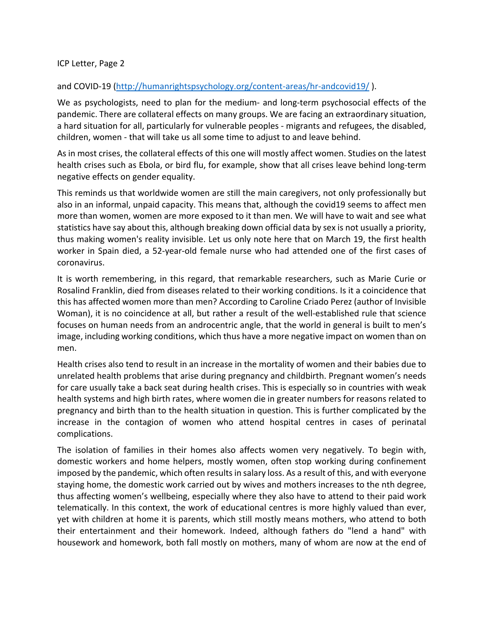ICP Letter, Page 2

## and COVID-19 (http://humanrightspsychology.org/content-areas/hr-andcovid19/).

We as psychologists, need to plan for the medium- and long-term psychosocial effects of the pandemic. There are collateral effects on many groups. We are facing an extraordinary situation, a hard situation for all, particularly for vulnerable peoples - migrants and refugees, the disabled, children, women - that will take us all some time to adjust to and leave behind.

As in most crises, the collateral effects of this one will mostly affect women. Studies on the latest health crises such as Ebola, or bird flu, for example, show that all crises leave behind long-term negative effects on gender equality.

This reminds us that worldwide women are still the main caregivers, not only professionally but also in an informal, unpaid capacity. This means that, although the covid19 seems to affect men more than women, women are more exposed to it than men. We will have to wait and see what statistics have say about this, although breaking down official data by sex is not usually a priority, thus making women's reality invisible. Let us only note here that on March 19, the first health worker in Spain died, a 52-year-old female nurse who had attended one of the first cases of coronavirus.

It is worth remembering, in this regard, that remarkable researchers, such as Marie Curie or Rosalind Franklin, died from diseases related to their working conditions. Is it a coincidence that this has affected women more than men? According to Caroline Criado Perez (author of Invisible Woman), it is no coincidence at all, but rather a result of the well-established rule that science focuses on human needs from an androcentric angle, that the world in general is built to men's image, including working conditions, which thus have a more negative impact on women than on men.

Health crises also tend to result in an increase in the mortality of women and their babies due to unrelated health problems that arise during pregnancy and childbirth. Pregnant women's needs for care usually take a back seat during health crises. This is especially so in countries with weak health systems and high birth rates, where women die in greater numbers for reasons related to pregnancy and birth than to the health situation in question. This is further complicated by the increase in the contagion of women who attend hospital centres in cases of perinatal complications.

The isolation of families in their homes also affects women very negatively. To begin with, domestic workers and home helpers, mostly women, often stop working during confinement imposed by the pandemic, which often results in salary loss. As a result of this, and with everyone staying home, the domestic work carried out by wives and mothers increases to the nth degree, thus affecting women's wellbeing, especially where they also have to attend to their paid work telematically. In this context, the work of educational centres is more highly valued than ever, yet with children at home it is parents, which still mostly means mothers, who attend to both their entertainment and their homework. Indeed, although fathers do "lend a hand" with housework and homework, both fall mostly on mothers, many of whom are now at the end of